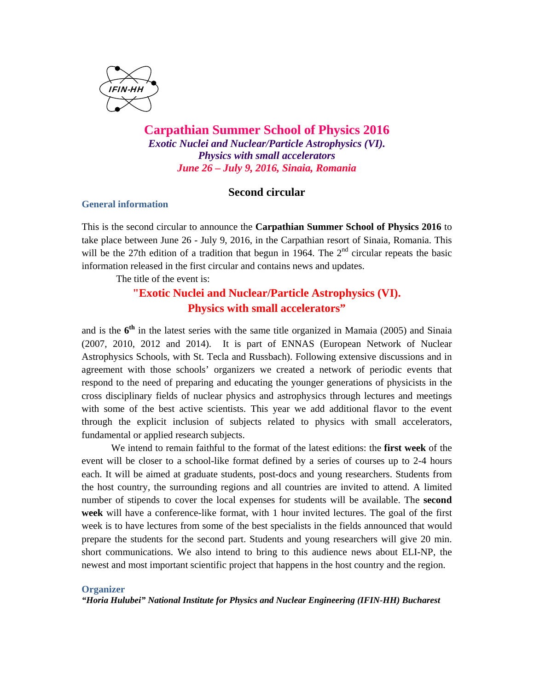

**Carpathian Summer School of Physics 2016**  *Exotic Nuclei and Nuclear/Particle Astrophysics (VI). Physics with small accelerators June 26 – July 9, 2016, Sinaia, Romania* 

# **Second circular**

### **General information**

This is the second circular to announce the **Carpathian Summer School of Physics 2016** to take place between June 26 - July 9, 2016, in the Carpathian resort of Sinaia, Romania. This will be the 27th edition of a tradition that begun in 1964. The  $2<sup>nd</sup>$  circular repeats the basic information released in the first circular and contains news and updates.

The title of the event is:

# **"Exotic Nuclei and Nuclear/Particle Astrophysics (VI). Physics with small accelerators"**

and is the **6th** in the latest series with the same title organized in Mamaia (2005) and Sinaia (2007, 2010, 2012 and 2014). It is part of ENNAS (European Network of Nuclear Astrophysics Schools, with St. Tecla and Russbach). Following extensive discussions and in agreement with those schools' organizers we created a network of periodic events that respond to the need of preparing and educating the younger generations of physicists in the cross disciplinary fields of nuclear physics and astrophysics through lectures and meetings with some of the best active scientists. This year we add additional flavor to the event through the explicit inclusion of subjects related to physics with small accelerators, fundamental or applied research subjects.

We intend to remain faithful to the format of the latest editions: the **first week** of the event will be closer to a school-like format defined by a series of courses up to 2-4 hours each. It will be aimed at graduate students, post-docs and young researchers. Students from the host country, the surrounding regions and all countries are invited to attend. A limited number of stipends to cover the local expenses for students will be available. The **second week** will have a conference-like format, with 1 hour invited lectures. The goal of the first week is to have lectures from some of the best specialists in the fields announced that would prepare the students for the second part. Students and young researchers will give 20 min. short communications. We also intend to bring to this audience news about ELI-NP, the newest and most important scientific project that happens in the host country and the region.

#### **Organizer**

*"Horia Hulubei" National Institute for Physics and Nuclear Engineering (IFIN-HH) Bucharest*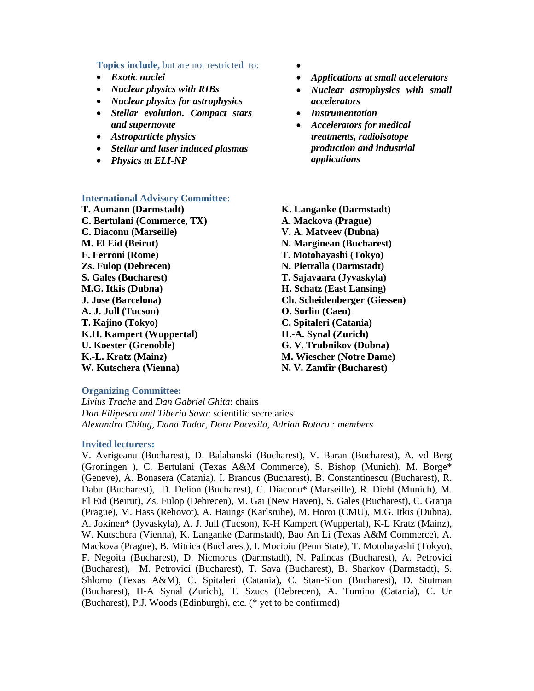#### **Topics include,** but are not restricted to:

- *Exotic nuclei*
- *Nuclear physics with RIBs*
- *Nuclear physics for astrophysics*
- *Stellar evolution. Compact stars and supernovae*
- *Astroparticle physics*
- *Stellar and laser induced plasmas*
- *Physics at ELI-NP*

#### **International Advisory Committee**:

**T. Aumann (Darmstadt) C. Bertulani (Commerce, TX) C. Diaconu (Marseille) M. El Eid (Beirut) F. Ferroni (Rome) Zs. Fulop (Debrecen) S. Gales (Bucharest) M.G. Itkis (Dubna) J. Jose (Barcelona) A. J. Jull (Tucson) T. Kajino (Tokyo) K.H. Kampert (Wuppertal) U. Koester (Grenoble) K.-L. Kratz (Mainz) W. Kutschera (Vienna)** 

- $\bullet$
- *Applications at small accelerators*
- *Nuclear astrophysics with small accelerators*
- *Instrumentation*
- *Accelerators for medical treatments, radioisotope production and industrial applications*
- **K. Langanke (Darmstadt) A. Mackova (Prague) V. A. Matveev (Dubna) N. Marginean (Bucharest) T. Motobayashi (Tokyo) N. Pietralla (Darmstadt) T. Sajavaara (Jyvaskyla) H. Schatz (East Lansing) Ch. Scheidenberger (Giessen) O. Sorlin (Caen) C. Spitaleri (Catania) H.-A. Synal (Zurich) G. V. Trubnikov (Dubna) M. Wiescher (Notre Dame) N. V. Zamfir (Bucharest)**

#### **Organizing Committee:**

*Livius Trache* and *Dan Gabriel Ghita*: chairs *Dan Filipescu and Tiberiu Sava*: scientific secretaries *Alexandra Chilug, Dana Tudor, Doru Pacesila, Adrian Rotaru : members*

#### **Invited lecturers:**

V. Avrigeanu (Bucharest), D. Balabanski (Bucharest), V. Baran (Bucharest), A. vd Berg (Groningen ), C. Bertulani (Texas A&M Commerce), S. Bishop (Munich), M. Borge\* (Geneve), A. Bonasera (Catania), I. Brancus (Bucharest), B. Constantinescu (Bucharest), R. Dabu (Bucharest), D. Delion (Bucharest), C. Diaconu\* (Marseille), R. Diehl (Munich), M. El Eid (Beirut), Zs. Fulop (Debrecen), M. Gai (New Haven), S. Gales (Bucharest), C. Granja (Prague), M. Hass (Rehovot), A. Haungs (Karlsruhe), M. Horoi (CMU), M.G. Itkis (Dubna), A. Jokinen\* (Jyvaskyla), A. J. Jull (Tucson), K-H Kampert (Wuppertal), K-L Kratz (Mainz), W. Kutschera (Vienna), K. Langanke (Darmstadt), Bao An Li (Texas A&M Commerce), A. Mackova (Prague), B. Mitrica (Bucharest), I. Mocioiu (Penn State), T. Motobayashi (Tokyo), F. Negoita (Bucharest), D. Nicmorus (Darmstadt), N. Palincas (Bucharest), A. Petrovici (Bucharest), M. Petrovici (Bucharest), T. Sava (Bucharest), B. Sharkov (Darmstadt), S. Shlomo (Texas A&M), C. Spitaleri (Catania), C. Stan-Sion (Bucharest), D. Stutman (Bucharest), H-A Synal (Zurich), T. Szucs (Debrecen), A. Tumino (Catania), C. Ur (Bucharest), P.J. Woods (Edinburgh), etc. (\* yet to be confirmed)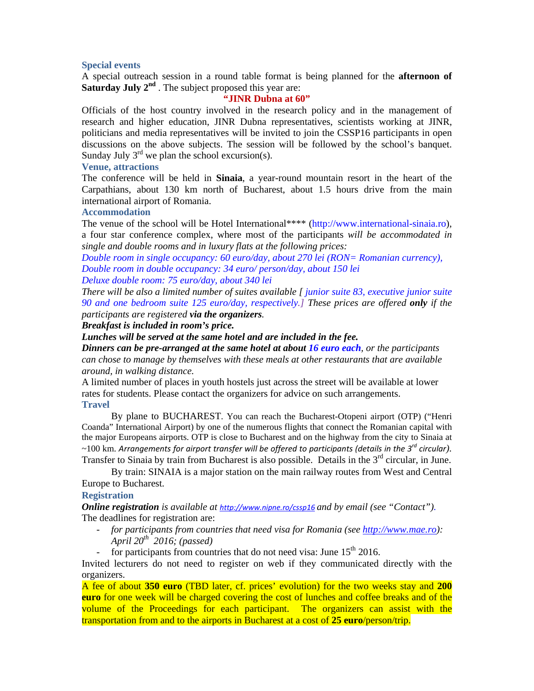# **Special events**

A special outreach session in a round table format is being planned for the **afternoon of Saturday July 2<sup>nd</sup>** . The subject proposed this year are:

### **"JINR Dubna at 60"**

Officials of the host country involved in the research policy and in the management of research and higher education, JINR Dubna representatives, scientists working at JINR, politicians and media representatives will be invited to join the CSSP16 participants in open discussions on the above subjects. The session will be followed by the school's banquet. Sunday July  $3<sup>rd</sup>$  we plan the school excursion(s).

### **Venue, attractions**

The conference will be held in **Sinaia**, a year-round mountain resort in the heart of the Carpathians, about 130 km north of Bucharest, about 1.5 hours drive from the main international airport of Romania.

# **Accommodation**

The venue of the school will be Hotel International\*\*\*\* (http://www.international-sinaia.ro), a four star conference complex, where most of the participants *will be accommodated in single and double rooms and in luxury flats at the following prices:* 

*Double room in single occupancy: 60 euro/day, about 270 lei (RON= Romanian currency), Double room in double occupancy: 34 euro/ person/day, about 150 lei Deluxe double room: 75 euro/day, about 340 lei* 

*There will be also a limited number of suites available [ junior suite 83, executive junior suite 90 and one bedroom suite 125 euro/day, respectively.] These prices are offered only if the participants are registered via the organizers.* 

*Breakfast is included in room's price.* 

*Lunches will be served at the same hotel and are included in the fee.* 

*Dinners can be pre-arranged at the same hotel at about 16 euro each, or the participants can chose to manage by themselves with these meals at other restaurants that are available around, in walking distance.* 

A limited number of places in youth hostels just across the street will be available at lower rates for students. Please contact the organizers for advice on such arrangements. **Travel** 

By plane to BUCHAREST. You can reach the Bucharest-Otopeni airport (OTP) ("Henri Coanda" International Airport) by one of the numerous flights that connect the Romanian capital with the major Europeans airports. OTP is close to Bucharest and on the highway from the city to Sinaia at ~100 km. *Arrangements for airport transfer will be offered to participants (details in the 3rd circular).*  Transfer to Sinaia by train from Bucharest is also possible. Details in the  $3<sup>rd</sup>$  circular, in June.

By train: SINAIA is a major station on the main railway routes from West and Central Europe to Bucharest.

### **Registration**

*Online registration is available at http://www.nipne.ro/cssp16 and by email (see "Contact").* The deadlines for registration are:

- *for participants from countries that need visa for Romania (see http://www.mae.ro): April 20th 2016; (passed)*
- for participants from countries that do not need visa: June  $15<sup>th</sup> 2016$ .

Invited lecturers do not need to register on web if they communicated directly with the organizers.

A fee of about **350 euro** (TBD later, cf. prices' evolution) for the two weeks stay and **200 euro** for one week will be charged covering the cost of lunches and coffee breaks and of the volume of the Proceedings for each participant. The organizers can assist with the transportation from and to the airports in Bucharest at a cost of **25 euro**/person/trip.